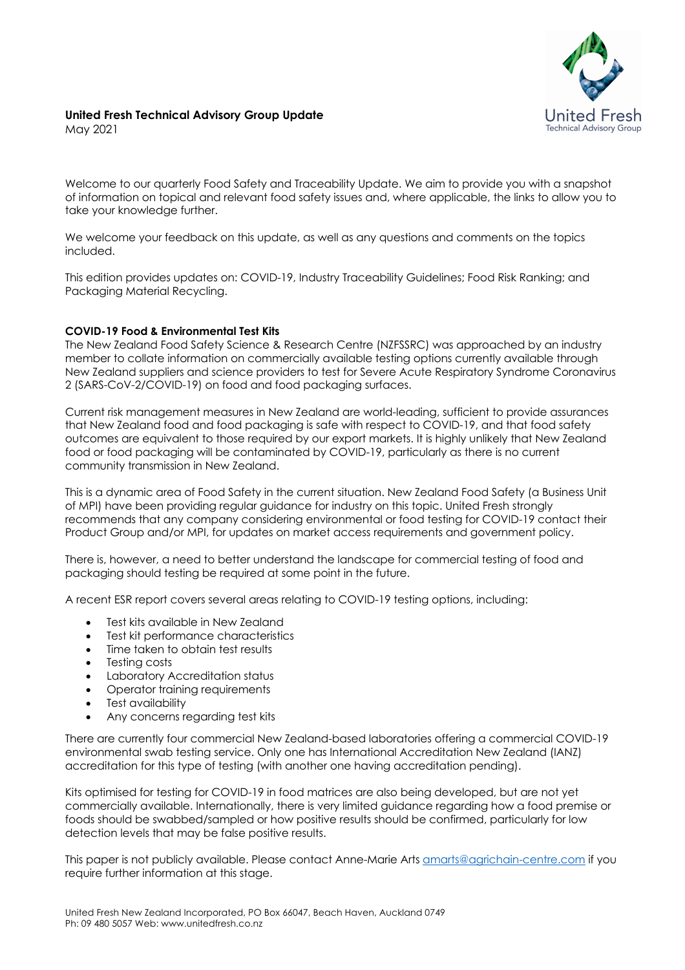

# **United Fresh Technical Advisory Group Update**

May 2021

Welcome to our quarterly Food Safety and Traceability Update. We aim to provide you with a snapshot of information on topical and relevant food safety issues and, where applicable, the links to allow you to take your knowledge further.

We welcome your feedback on this update, as well as any questions and comments on the topics included.

This edition provides updates on: COVID-19, Industry Traceability Guidelines; Food Risk Ranking; and Packaging Material Recycling.

## **COVID-19 Food & Environmental Test Kits**

The New Zealand Food Safety Science & Research Centre (NZFSSRC) was approached by an industry member to collate information on commercially available testing options currently available through New Zealand suppliers and science providers to test for Severe Acute Respiratory Syndrome Coronavirus 2 (SARS-CoV-2/COVID-19) on food and food packaging surfaces.

Current risk management measures in New Zealand are world-leading, sufficient to provide assurances that New Zealand food and food packaging is safe with respect to COVID-19, and that food safety outcomes are equivalent to those required by our export markets. It is highly unlikely that New Zealand food or food packaging will be contaminated by COVID-19, particularly as there is no current community transmission in New Zealand.

This is a dynamic area of Food Safety in the current situation. New Zealand Food Safety (a Business Unit of MPI) have been providing regular guidance for industry on this topic. United Fresh strongly recommends that any company considering environmental or food testing for COVID-19 contact their Product Group and/or MPI, for updates on market access requirements and government policy.

There is, however, a need to better understand the landscape for commercial testing of food and packaging should testing be required at some point in the future.

A recent ESR report covers several areas relating to COVID-19 testing options, including:

- Test kits available in New Zealand
- Test kit performance characteristics
- Time taken to obtain test results
- Testing costs
- Laboratory Accreditation status
- Operator training requirements
- Test availability
- Any concerns regarding test kits

There are currently four commercial New Zealand-based laboratories offering a commercial COVID-19 environmental swab testing service. Only one has International Accreditation New Zealand (IANZ) accreditation for this type of testing (with another one having accreditation pending).

Kits optimised for testing for COVID-19 in food matrices are also being developed, but are not yet commercially available. Internationally, there is very limited guidance regarding how a food premise or foods should be swabbed/sampled or how positive results should be confirmed, particularly for low detection levels that may be false positive results.

This paper is not publicly available. Please contact Anne-Marie Arts amarts@agrichain-centre.com if you require further information at this stage.